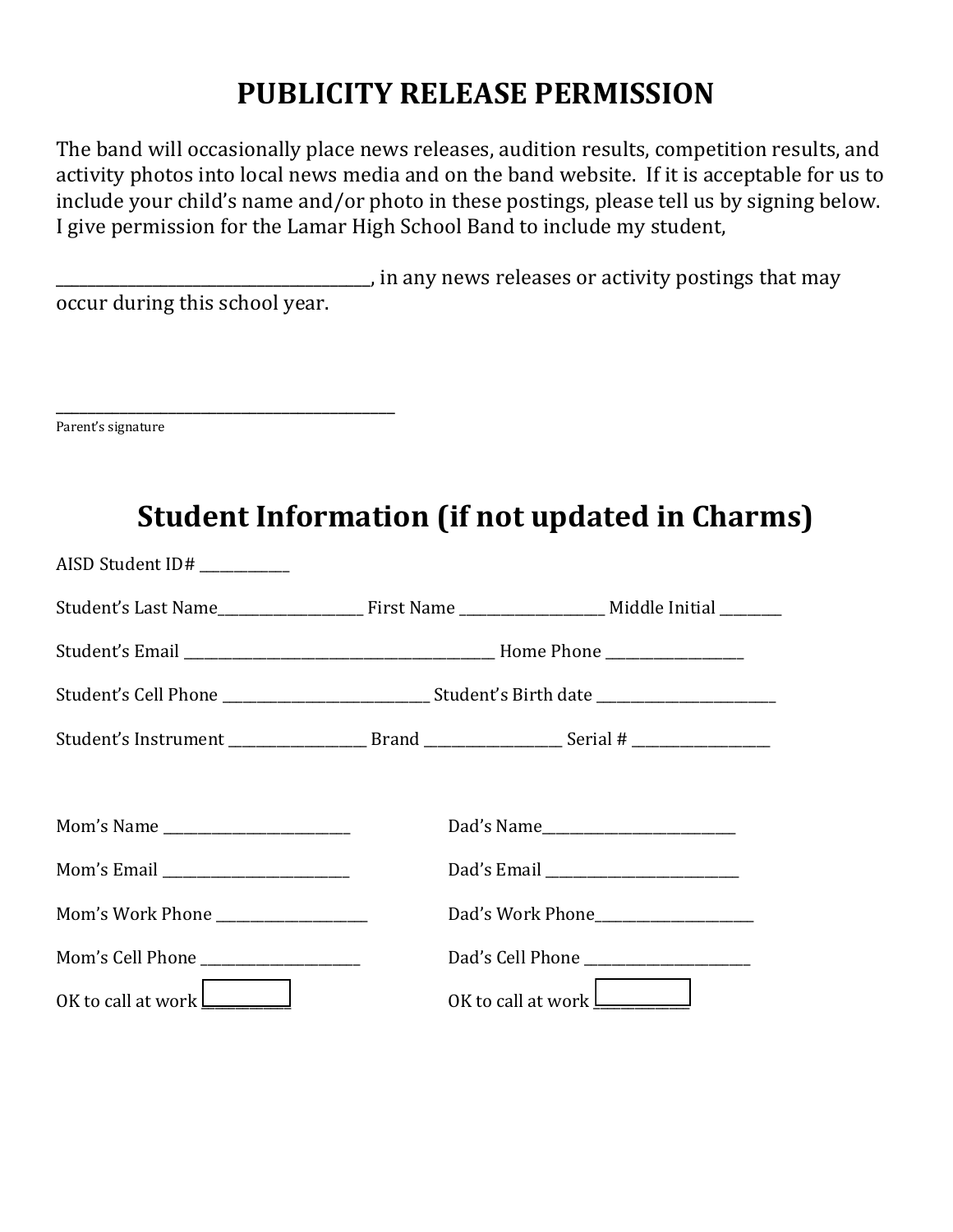## **PUBLICITY RELEASE PERMISSION**

The band will occasionally place news releases, audition results, competition results, and activity photos into local news media and on the band website. If it is acceptable for us to include your child's name and/or photo in these postings, please tell us by signing below. I give permission for the Lamar High School Band to include my student,

**\_\_\_\_\_\_\_\_\_**\_, in any news releases or activity postings that may occur during this school year.

| Parent's signature |  |  |
|--------------------|--|--|

| AISD Student $ID#$ ___________     |  |                                                      |  |
|------------------------------------|--|------------------------------------------------------|--|
|                                    |  |                                                      |  |
|                                    |  |                                                      |  |
|                                    |  |                                                      |  |
|                                    |  |                                                      |  |
|                                    |  |                                                      |  |
|                                    |  |                                                      |  |
| Mom's Email ______________________ |  | Dad's Email ________________________                 |  |
| Mom's Work Phone ________________  |  | Dad's Work Phone                                     |  |
|                                    |  |                                                      |  |
| OK to call at work $\Box$          |  | OK to call at work $\boxed{\underline{\hspace{2cm}}$ |  |

## **Student Information (if not updated in Charms)**